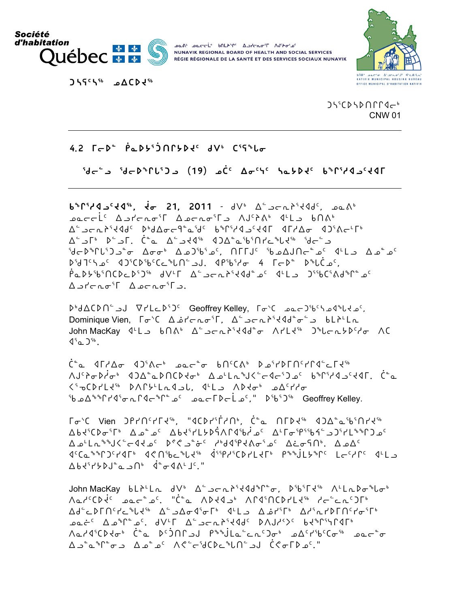

**DOA' DECCL' bALAME ASHCAT'T AUPORAL** NUNAVIK REGIONAL BOARD OF HEALTH AND SOCIAL SERVICES RÉGIE RÉGIONALE DE LA SANTÉ ET DES SERVICES SOCIAUX NUNAVIK





 $J\mathcal{L}^{\mathcal{L}}(D\mathcal{L}D\cap\Gamma\Gamma\mathcal{L}C^{\mathcal{L}})$ **CNW 01** 

 $4.2$   $\Gamma$   $\subset$   $D^*$   $\dot{\rho}$   $\Delta$   $D^*$   $\dot{\Omega}$   $\Gamma$   $D^*$   $dV^*$   $C^*$   $G^*$   $L_{\sigma}$ 

 $5d - 3e$   $3d - 6e$   $3e - 3e$   $3e - 6e$   $3e - 6e$   $3e - 6e$   $3e - 6e$ 

 $b^bC^cC^dC^d$ ,  $\dot{c}d^cC^dC^d$ ,  $\dot{c}d^cC^dC^d$ ,  $\dot{c}d^cC^dC^d$ ,  $\dot{c}d^cC^dC^d$ ,  $\dot{c}d^cC^dC^dC^d$ ,  $\dot{c}d^cC^dC^dC^dC^d$ ∿مصححلًا "AJ اخطار كارجمامية اكتباهية المحمودية المعاصرة المحمودية المعاصرة المحمودية المحمودية الم ∆° کالو گار ( فه سکاره است) که کوره کوره کار کوره کار است کا ک °مـْ مـ۵ مـ عـا الك عمـْ – الملمو الأولى المعارا مع المعامل عن من أو المعامل المعامل المعامل المعامل المعامل ا ، ۴-۱۲-۲۵° - ۴-۲۰۲۵'۰۴۹۰ . ل.د ۱۲۰°۰۰'۲۵'۲۵'۲۵ - ۲۰۰۵'۲۱۲'۲ . ^ 1'46^{\depsilon\_{\depsilon\_{\depsilon\_{\depsilon\_{\depsilon\_{\depsilon\_{\depsilon\_{\depsilon\_{\d  $\Delta$ 

Dbd∆CDN° JU VrLcD°J Geoffrey Kelley, Toble acongles also leads Dominique Vien,  $\lceil \sigma^s C \rceil \Delta \dot{\rho}^s \sigma^s \rceil$ ,  $\Delta^c \Delta \sigma \Delta^s \tau^s \tau^s \tau^s$ John MacKay <br />
4'L >  $b \cap A^b$  <br />  $\Delta^c$  >  $c \cap A^s \cup c^s$  <<br />
A'L  $d^c$  +  $\Delta^c$  ,  $d^c$  +  $c^s$  +  $c^s$  +  $c^s$  +  $c^s$  +  $c^s$  +  $c^s$  +  $c^s$  +  $c^s$  +  $c^s$  +  $c^s$  +  $c^s$  +  $c^s$  +  $c^s$  +  $c^s$  +  $c^s$  +  $4^5$ a  $2^{56}$ .

 $\dot{C}^{\circ}$  (\* 1119) $\alpha$  (\* 1119) $\alpha$  (\* 1119) $\alpha$  (\* 1110)  $\langle 5\sigma$ 0021236 DAC54Ladol, 14Lo ADdob o $\Delta$ chdo <sup>5</sup> ناپکار کانکار (۲۵-۲۵ تا ۱۳۵۰) تا ۲۵-۲۵ او ۲۵-۲۹/۴۵ تا ۲۵-۲۹/۴۵ د کان

٦<del>٥</del>' / T->٥' Vien DP۲∩٬۲۲۹'', "۱۵۹۲٬۲۰۵', Ċ°⊾ ∩۲۵۹' ۵۵۵°۵'۲۹' ۵-۲۵۰°٬۴۴۰ در ۲۵۰۴۹٬۴۵۹ میله۹٬۶۵۹٬۴۵۹٬۴۵۰ میشهد کسی ۵۰ از ۲۵۰۴۵٬۴۵۸ میلادی YP3 dedicate delayers delayers dal 10."

John MacKay bliLL dVb A-Jerlistddn-0, Dibirts ALLLDonlot Aمذروع به محتهم و "C ASAA و ASAA المواس المعنى المستعمر المعنى المعنى المعنى المعنى المعنى المعنى ال  $\Delta d^c L \Delta \Gamma \Omega^c L^c \gamma L^{\{1\}} \quad \Delta^c \Rightarrow \Delta \sigma d^c \sigma \Gamma^b \quad \Delta^c L \Rightarrow \quad \Delta \dot{\sigma} L^c \Gamma^b \quad \Delta L^c \gamma L \Gamma \Omega^c L^c \sigma^c \Gamma^b$ ـمعذ<sup>د</sup> Aه<sup>ه</sup>ا معاشمة بالمحاسبة المعاملات A/S مع المعاملات المعاملة ^م۱۹٬۲۵۹٬۴۵۰ (مُمارک)۱۵٬۶۹٬۴۵٬۲۵۰ میتره۴۵٬۲۵۰ میتره۴۵٬۲۵۸ میتره